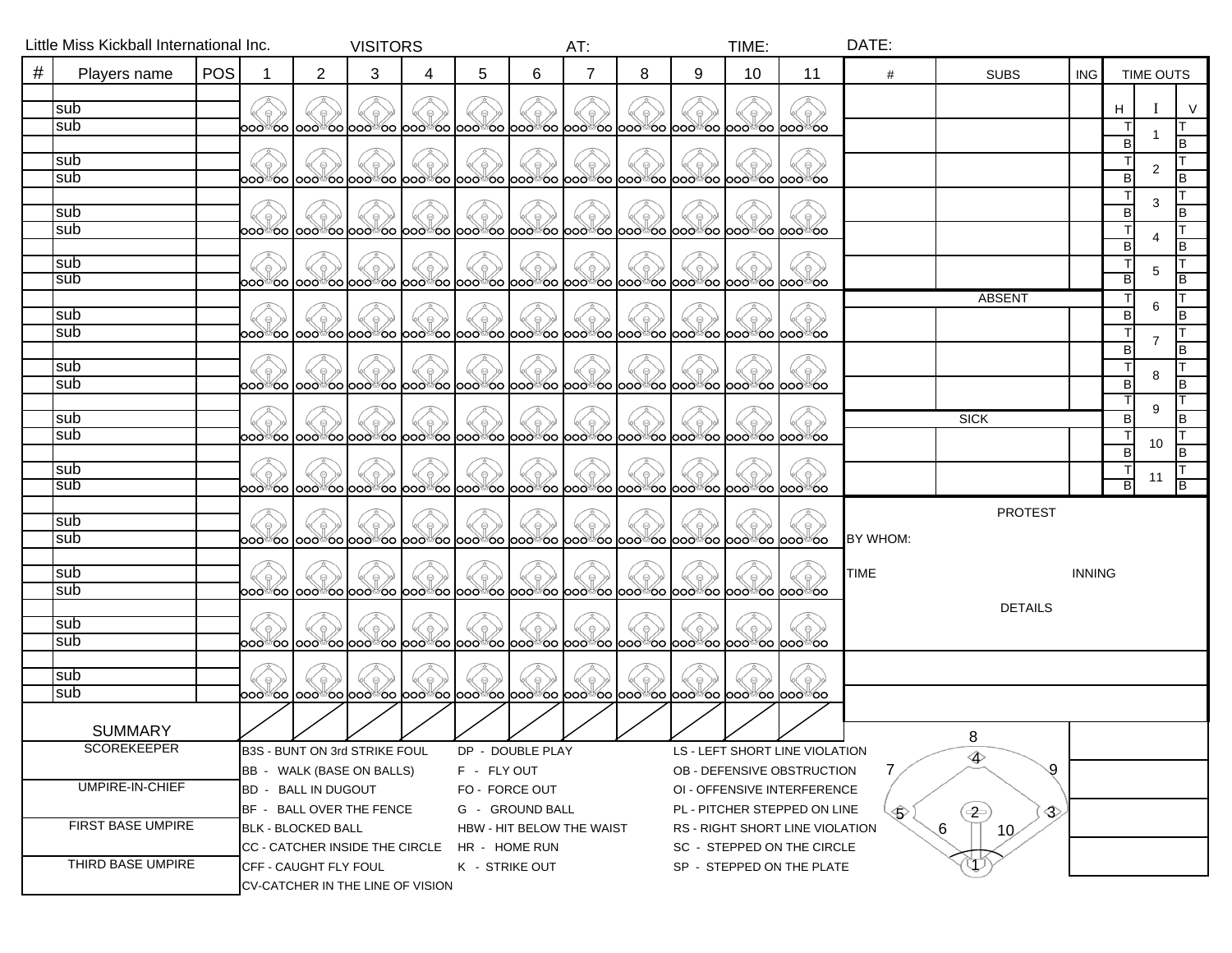|                    | Little Miss Kickball International Inc. |                               | <b>VISITORS</b>                              |                |                  |                           | AT:            |                                |                                                                                                     | TIME: |                           | DATE:                           |                                   |                      |                |               |             |    |                  |  |
|--------------------|-----------------------------------------|-------------------------------|----------------------------------------------|----------------|------------------|---------------------------|----------------|--------------------------------|-----------------------------------------------------------------------------------------------------|-------|---------------------------|---------------------------------|-----------------------------------|----------------------|----------------|---------------|-------------|----|------------------|--|
| $^{\#}$            | Players name                            | <b>POS</b>                    |                                              | $\overline{c}$ | 3                | 4                         | 5              | 6                              |                                                                                                     | 8     | 9                         | 10                              | 11                                | #                    | <b>SUBS</b>    | ING.          |             |    | <b>TIME OUTS</b> |  |
|                    |                                         |                               |                                              |                |                  |                           |                |                                |                                                                                                     |       |                           |                                 |                                   |                      |                |               |             |    |                  |  |
|                    | sub                                     |                               |                                              |                |                  |                           |                |                                |                                                                                                     |       |                           |                                 | $\circ$                           |                      |                |               | н           |    | V                |  |
|                    | sub                                     |                               |                                              |                |                  |                           |                |                                | 000°00 000°00 000°00 000°00 000°00 000°00 000°00 000°00 000°00 000°00 000°00                        |       |                           |                                 |                                   |                      |                |               |             |    |                  |  |
|                    |                                         |                               |                                              |                |                  |                           |                |                                |                                                                                                     |       |                           |                                 |                                   |                      |                |               | B           |    |                  |  |
|                    | sub                                     |                               |                                              |                |                  |                           |                |                                |                                                                                                     |       |                           |                                 |                                   |                      |                |               | ा<br>B      | 2  | IB               |  |
|                    | sub                                     |                               |                                              |                |                  |                           |                |                                | 000°00 000°00 000°00 000°00 000°00 000°00 000°00 000°00 000°00 000°00 000°00                        |       |                           |                                 |                                   |                      |                |               |             |    |                  |  |
|                    | sub                                     |                               |                                              |                |                  |                           |                |                                |                                                                                                     |       |                           |                                 |                                   |                      |                |               | B           | 3  | B                |  |
|                    | sub                                     |                               |                                              |                |                  |                           |                |                                | 000°00 000°00 000°00 000°00 000°00 000°00 000°00 000°00 000°00 000°00 000°00                        |       |                           |                                 |                                   |                      |                |               |             |    |                  |  |
|                    |                                         |                               |                                              |                |                  |                           |                |                                |                                                                                                     |       |                           |                                 |                                   |                      |                |               | B           |    | B                |  |
|                    | sub                                     |                               |                                              |                |                  |                           |                |                                |                                                                                                     |       |                           |                                 |                                   |                      |                |               | $\top$      | 5  |                  |  |
|                    | sub                                     |                               |                                              |                |                  |                           |                |                                | 000°00  000°00  000°00  000°00  000°00  000°00  000°00  000°00  000°00  000°00  000°00              |       |                           |                                 |                                   |                      |                |               | B           |    | B                |  |
|                    |                                         |                               |                                              |                |                  |                           |                |                                |                                                                                                     |       |                           |                                 |                                   |                      | <b>ABSENT</b>  |               |             | 6  |                  |  |
|                    | sub                                     |                               |                                              |                |                  |                           |                |                                |                                                                                                     |       |                           |                                 | $\Theta$ .                        |                      |                |               | B           |    | B                |  |
|                    | sub                                     |                               |                                              |                |                  |                           |                |                                | ooಾo  oooಾoo  oooಾoo  oooಾoo  oooಾoo  oooಾoo  oooಾoo  oooಾoo  oooಾoo  oooಾoo  ooo                   |       |                           |                                 |                                   |                      |                |               |             | 7  |                  |  |
|                    |                                         |                               |                                              |                |                  |                           |                |                                |                                                                                                     |       |                           |                                 |                                   |                      |                |               | B<br>$\top$ |    | B                |  |
|                    | sub<br>sub                              |                               |                                              |                |                  |                           |                |                                | ooಾ looಾ oo looಾ oo looಾo looಾo looಾo looಾoo looಾoo looಾo looಾoo looಾoo looಾoo loo                  |       |                           |                                 |                                   |                      |                |               | B           | 8  | B                |  |
|                    |                                         |                               |                                              |                |                  |                           |                |                                |                                                                                                     |       |                           |                                 |                                   |                      |                |               |             |    |                  |  |
|                    | sub                                     |                               |                                              |                |                  |                           |                |                                |                                                                                                     |       |                           |                                 |                                   |                      | <b>SICK</b>    |               | B           | 9  | B                |  |
|                    | sub                                     |                               |                                              |                |                  |                           |                |                                | ooಲ ಎಂ ಎಂಎ ಇಂತಿ ರಾಂಧಿಯಾಗಿ ಅರು ಇಂತಿ ರಾಂಧಿ ಅಂತಿ ರಾಂಧಿ ರಾಂಧಿ ರಾಂಧಿ ರಾಂಧಿ ರಾಂಧಿ ರಾಂಧಿ ರಾಂಧಿ ರಾಂಧಿ ರಾಂಧಿ |       |                           |                                 |                                   |                      |                |               |             |    |                  |  |
|                    |                                         |                               |                                              |                |                  |                           |                |                                |                                                                                                     |       |                           |                                 |                                   |                      |                |               | B           | 10 | B                |  |
|                    | sub                                     |                               |                                              |                |                  |                           |                |                                |                                                                                                     |       |                           |                                 |                                   |                      |                |               | $\top$      | 11 |                  |  |
|                    | sub                                     |                               |                                              |                |                  |                           |                |                                | 000°00 000°00 000°00 000°00 000°00 000°00 000°00 000°00 000°00 000°00 000°00                        |       |                           |                                 |                                   |                      |                |               | В           |    | B                |  |
|                    |                                         |                               |                                              |                |                  |                           |                |                                |                                                                                                     |       |                           |                                 |                                   |                      | <b>PROTEST</b> |               |             |    |                  |  |
|                    | sub                                     |                               |                                              |                |                  |                           |                |                                |                                                                                                     |       |                           |                                 |                                   |                      |                |               |             |    |                  |  |
|                    | sub                                     |                               |                                              |                |                  |                           |                |                                | loo�oo looo�oo looo�oo looo�oo looo�oo looo�oo looo�oo looo�oo looo�oo looo�oo looo�oo              |       |                           |                                 |                                   | BY WHOM:             |                |               |             |    |                  |  |
|                    | sub                                     |                               |                                              |                |                  |                           |                |                                |                                                                                                     |       |                           |                                 |                                   | <b>TIME</b>          |                | <b>INNING</b> |             |    |                  |  |
|                    | sub                                     |                               |                                              |                |                  |                           |                |                                | 000°00  000°00  000°00  000°00  000°00  000°00  000°00  000°00  000°00  000°00  000°00              |       |                           |                                 |                                   |                      |                |               |             |    |                  |  |
|                    |                                         |                               |                                              |                |                  |                           |                |                                |                                                                                                     |       |                           |                                 |                                   |                      | <b>DETAILS</b> |               |             |    |                  |  |
|                    | sub                                     |                               |                                              |                |                  |                           |                |                                |                                                                                                     |       |                           |                                 | $\circ$ )                         |                      |                |               |             |    |                  |  |
|                    | sub                                     |                               |                                              |                |                  |                           |                |                                | 000°00 000°00 000°00 000°00 000°00 000°00 000°00 000°00 000°00 000°00 000°00                        |       |                           |                                 |                                   |                      |                |               |             |    |                  |  |
|                    |                                         |                               |                                              |                |                  |                           |                |                                |                                                                                                     |       |                           |                                 |                                   |                      |                |               |             |    |                  |  |
|                    | sub                                     |                               |                                              |                |                  |                           |                |                                |                                                                                                     |       |                           |                                 |                                   |                      |                |               |             |    |                  |  |
|                    | sub                                     |                               |                                              |                |                  |                           |                |                                | 000°00 000°00 000°00 000°00 000°00 000°00 000°00 000°00 000°00 000°00 000°00                        |       |                           |                                 |                                   |                      |                |               |             |    |                  |  |
|                    |                                         |                               |                                              |                |                  |                           |                |                                |                                                                                                     |       |                           |                                 |                                   |                      |                |               |             |    |                  |  |
| <b>SUMMARY</b>     |                                         |                               |                                              |                | $\mathcal{V}$    |                           | <i>v v v</i>   |                                |                                                                                                     |       |                           |                                 | <i>Y Y Y</i> I                    |                      | 8              |               |             |    |                  |  |
| <b>SCOREKEEPER</b> |                                         | B3S - BUNT ON 3rd STRIKE FOUL |                                              |                | DP - DOUBLE PLAY |                           |                | LS - LEFT SHORT LINE VIOLATION |                                                                                                     |       |                           |                                 |                                   |                      |                |               |             |    |                  |  |
|                    |                                         | BB - WALK (BASE ON BALLS)     |                                              |                | F - FLY OUT      |                           |                | OB - DEFENSIVE OBSTRUCTION     |                                                                                                     |       |                           | 9                               |                                   |                      |                |               |             |    |                  |  |
| UMPIRE-IN-CHIEF    |                                         | BD - BALL IN DUGOUT           |                                              |                | FO - FORCE OUT   |                           |                | OI - OFFENSIVE INTERFERENCE    |                                                                                                     |       |                           |                                 |                                   |                      |                |               |             |    |                  |  |
|                    |                                         |                               | BF - BALL OVER THE FENCE                     |                |                  | G - GROUND BALL           |                |                                | PL - PITCHER STEPPED ON LINE                                                                        |       |                           | Տ                               | $\left( \frac{1}{2} \right)$<br>♦ |                      |                |               |             |    |                  |  |
| FIRST BASE UMPIRE  |                                         |                               | <b>BLK - BLOCKED BALL</b>                    |                |                  | HBW - HIT BELOW THE WAIST |                |                                |                                                                                                     |       |                           | RS - RIGHT SHORT LINE VIOLATION |                                   | 6<br>10 <sub>2</sub> |                |               |             |    |                  |  |
|                    |                                         |                               | CC - CATCHER INSIDE THE CIRCLE HR - HOME RUN |                |                  |                           |                |                                |                                                                                                     |       |                           | SC - STEPPED ON THE CIRCLE      |                                   |                      |                |               |             |    |                  |  |
| THIRD BASE UMPIRE  |                                         |                               | CFF - CAUGHT FLY FOUL                        |                |                  |                           | K - STRIKE OUT |                                |                                                                                                     |       | SP - STEPPED ON THE PLATE |                                 |                                   |                      |                |               |             |    |                  |  |
|                    |                                         |                               | CV-CATCHER IN THE LINE OF VISION             |                |                  |                           |                |                                |                                                                                                     |       |                           |                                 |                                   |                      |                |               |             |    |                  |  |